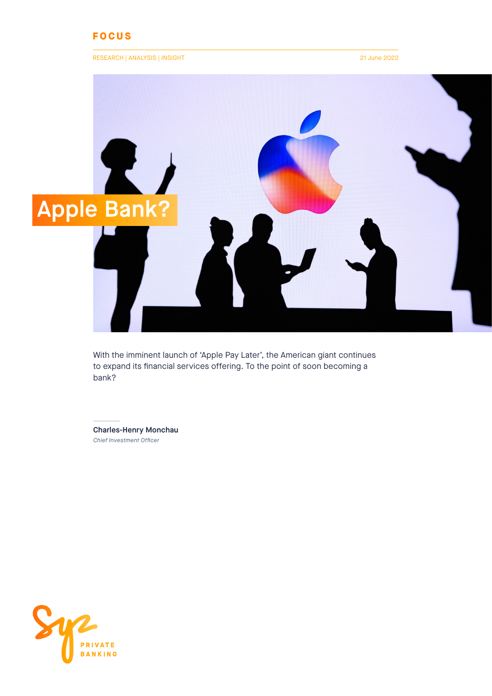## **FOCUS**

#### RESEARCH | ANALYSIS | INSIGHT 21 June 2022



With the imminent launch of 'Apple Pay Later', the American giant continues to expand its financial services offering. To the point of soon becoming a bank?

Charles-Henry Monchau *Chief Investment Officer*

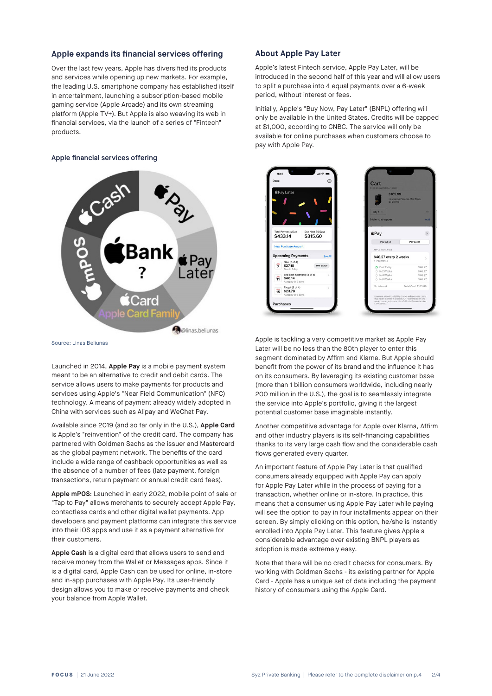#### **Apple expands its financial services offering**

Over the last few years, Apple has diversified its products and services while opening up new markets. For example, the leading U.S. smartphone company has established itself in entertainment, launching a subscription-based mobile gaming service (Apple Arcade) and its own streaming platform (Apple TV+). But Apple is also weaving its web in financial services, via the launch of a series of "Fintech" products.

#### Apple financial services offering



Source: Linas Beliunas

Launched in 2014, **Apple Pay** is a mobile payment system meant to be an alternative to credit and debit cards. The service allows users to make payments for products and services using Apple's "Near Field Communication" (NFC) technology. A means of payment already widely adopted in China with services such as Alipay and WeChat Pay.

Available since 2019 (and so far only in the U.S.), **Apple Card**  is Apple's "reinvention" of the credit card. The company has partnered with Goldman Sachs as the issuer and Mastercard as the global payment network. The benefits of the card include a wide range of cashback opportunities as well as the absence of a number of fees (late payment, foreign transactions, return payment or annual credit card fees).

**Apple mPOS**: Launched in early 2022, mobile point of sale or "Tap to Pay" allows merchants to securely accept Apple Pay, contactless cards and other digital wallet payments. App developers and payment platforms can integrate this service into their iOS apps and use it as a payment alternative for their customers.

**Apple Cash** is a digital card that allows users to send and receive money from the Wallet or Messages apps. Since it is a digital card, Apple Cash can be used for online, in-store and in-app purchases with Apple Pay. Its user-friendly design allows you to make or receive payments and check your balance from Apple Wallet.

#### **About Apple Pay Later**

Apple's latest Fintech service, Apple Pay Later, will be introduced in the second half of this year and will allow users to split a purchase into 4 equal payments over a 6-week period, without interest or fees.

Initially, Apple's "Buy Now, Pay Later" (BNPL) offering will only be available in the United States. Credits will be capped at \$1,000, according to CNBC. The service will only be available for online purchases when customers choose to pay with Apple Pay.



Apple is tackling a very competitive market as Apple Pay Later will be no less than the 80th player to enter this segment dominated by Affirm and Klarna. But Apple should benefit from the power of its brand and the influence it has on its consumers. By leveraging its existing customer base (more than 1 billion consumers worldwide, including nearly 200 million in the U.S.), the goal is to seamlessly integrate the service into Apple's portfolio, giving it the largest potential customer base imaginable instantly.

Another competitive advantage for Apple over Klarna, Affirm and other industry players is its self-financing capabilities thanks to its very large cash flow and the considerable cash flows generated every quarter.

An important feature of Apple Pay Later is that qualified consumers already equipped with Apple Pay can apply for Apple Pay Later while in the process of paying for a transaction, whether online or in-store. In practice, this means that a consumer using Apple Pay Later while paying will see the option to pay in four installments appear on their screen. By simply clicking on this option, he/she is instantly enrolled into Apple Pay Later. This feature gives Apple a considerable advantage over existing BNPL players as adoption is made extremely easy.

Note that there will be no credit checks for consumers. By working with Goldman Sachs - its existing partner for Apple Card - Apple has a unique set of data including the payment history of consumers using the Apple Card.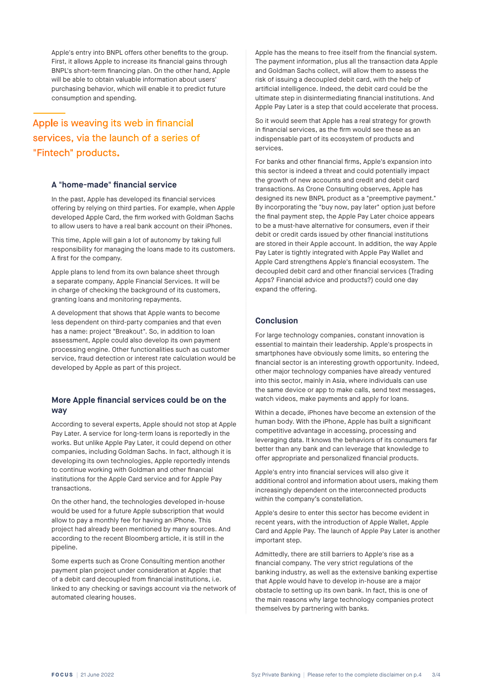Apple's entry into BNPL offers other benefits to the group. First, it allows Apple to increase its financial gains through BNPL's short-term financing plan. On the other hand, Apple will be able to obtain valuable information about users' purchasing behavior, which will enable it to predict future consumption and spending.

# Apple is weaving its web in financial services, via the launch of a series of "Fintech" products.

#### **A "home-made" financial service**

In the past, Apple has developed its financial services offering by relying on third parties. For example, when Apple developed Apple Card, the firm worked with Goldman Sachs to allow users to have a real bank account on their iPhones.

This time, Apple will gain a lot of autonomy by taking full responsibility for managing the loans made to its customers. A first for the company.

Apple plans to lend from its own balance sheet through a separate company, Apple Financial Services. It will be in charge of checking the background of its customers, granting loans and monitoring repayments.

A development that shows that Apple wants to become less dependent on third-party companies and that even has a name: project "Breakout". So, in addition to loan assessment, Apple could also develop its own payment processing engine. Other functionalities such as customer service, fraud detection or interest rate calculation would be developed by Apple as part of this project.

## **More Apple financial services could be on the way**

According to several experts, Apple should not stop at Apple Pay Later. A service for long-term loans is reportedly in the works. But unlike Apple Pay Later, it could depend on other companies, including Goldman Sachs. In fact, although it is developing its own technologies, Apple reportedly intends to continue working with Goldman and other financial institutions for the Apple Card service and for Apple Pay transactions.

On the other hand, the technologies developed in-house would be used for a future Apple subscription that would allow to pay a monthly fee for having an iPhone. This project had already been mentioned by many sources. And according to the recent Bloomberg article, it is still in the pipeline.

Some experts such as Crone Consulting mention another payment plan project under consideration at Apple: that of a debit card decoupled from financial institutions, i.e. linked to any checking or savings account via the network of automated clearing houses.

Apple has the means to free itself from the financial system. The payment information, plus all the transaction data Apple and Goldman Sachs collect, will allow them to assess the risk of issuing a decoupled debit card, with the help of artificial intelligence. Indeed, the debit card could be the ultimate step in disintermediating financial institutions. And Apple Pay Later is a step that could accelerate that process.

So it would seem that Apple has a real strategy for growth in financial services, as the firm would see these as an indispensable part of its ecosystem of products and services.

For banks and other financial firms, Apple's expansion into this sector is indeed a threat and could potentially impact the growth of new accounts and credit and debit card transactions. As Crone Consulting observes, Apple has designed its new BNPL product as a "preemptive payment." By incorporating the "buy now, pay later" option just before the final payment step, the Apple Pay Later choice appears to be a must-have alternative for consumers, even if their debit or credit cards issued by other financial institutions are stored in their Apple account. In addition, the way Apple Pay Later is tightly integrated with Apple Pay Wallet and Apple Card strengthens Apple's financial ecosystem. The decoupled debit card and other financial services (Trading Apps? Financial advice and products?) could one day expand the offering.

## **Conclusion**

For large technology companies, constant innovation is essential to maintain their leadership. Apple's prospects in smartphones have obviously some limits, so entering the financial sector is an interesting growth opportunity. Indeed, other major technology companies have already ventured into this sector, mainly in Asia, where individuals can use the same device or app to make calls, send text messages, watch videos, make payments and apply for loans.

Within a decade, iPhones have become an extension of the human body. With the iPhone, Apple has built a significant competitive advantage in accessing, processing and leveraging data. It knows the behaviors of its consumers far better than any bank and can leverage that knowledge to offer appropriate and personalized financial products.

Apple's entry into financial services will also give it additional control and information about users, making them increasingly dependent on the interconnected products within the company's constellation.

Apple's desire to enter this sector has become evident in recent years, with the introduction of Apple Wallet, Apple Card and Apple Pay. The launch of Apple Pay Later is another important step.

Admittedly, there are still barriers to Apple's rise as a financial company. The very strict regulations of the banking industry, as well as the extensive banking expertise that Apple would have to develop in-house are a major obstacle to setting up its own bank. In fact, this is one of the main reasons why large technology companies protect themselves by partnering with banks.